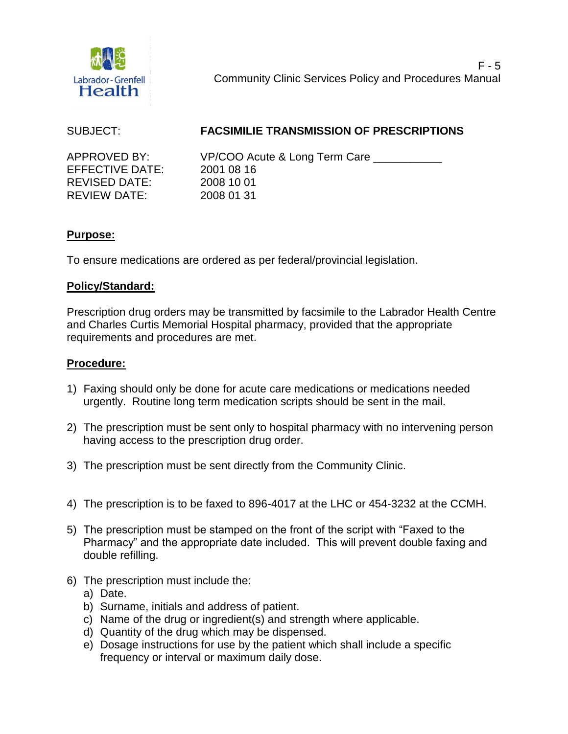

# SUBJECT: **FACSIMILIE TRANSMISSION OF PRESCRIPTIONS**

EFFECTIVE DATE: 2001 08 16 REVISED DATE: 2008 10 01 REVIEW DATE: 2008 01 31

APPROVED BY: VP/COO Acute & Long Term Care

## **Purpose:**

To ensure medications are ordered as per federal/provincial legislation.

## **Policy/Standard:**

Prescription drug orders may be transmitted by facsimile to the Labrador Health Centre and Charles Curtis Memorial Hospital pharmacy, provided that the appropriate requirements and procedures are met.

# **Procedure:**

- 1) Faxing should only be done for acute care medications or medications needed urgently. Routine long term medication scripts should be sent in the mail.
- 2) The prescription must be sent only to hospital pharmacy with no intervening person having access to the prescription drug order.
- 3) The prescription must be sent directly from the Community Clinic.
- 4) The prescription is to be faxed to 896-4017 at the LHC or 454-3232 at the CCMH.
- 5) The prescription must be stamped on the front of the script with "Faxed to the Pharmacy" and the appropriate date included. This will prevent double faxing and double refilling.
- 6) The prescription must include the:
	- a) Date.
	- b) Surname, initials and address of patient.
	- c) Name of the drug or ingredient(s) and strength where applicable.
	- d) Quantity of the drug which may be dispensed.
	- e) Dosage instructions for use by the patient which shall include a specific frequency or interval or maximum daily dose.